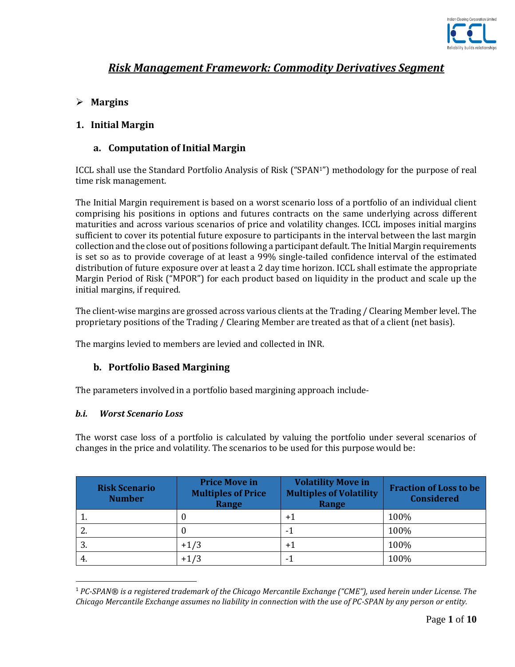

# *Risk Management Framework: Commodity Derivatives Segment*

# **Margins**

## **1. Initial Margin**

## **a. Computation of Initial Margin**

ICCL shall use the Standard Portfolio Analysis of Risk ("SPAN1") methodology for the purpose of real time risk management.

The Initial Margin requirement is based on a worst scenario loss of a portfolio of an individual client comprising his positions in options and futures contracts on the same underlying across different maturities and across various scenarios of price and volatility changes. ICCL imposes initial margins sufficient to cover its potential future exposure to participants in the interval between the last margin collection and the close out of positions following a participant default. The Initial Margin requirements is set so as to provide coverage of at least a 99% single-tailed confidence interval of the estimated distribution of future exposure over at least a 2 day time horizon. ICCL shall estimate the appropriate Margin Period of Risk ("MPOR") for each product based on liquidity in the product and scale up the initial margins, if required.

The client-wise margins are grossed across various clients at the Trading / Clearing Member level. The proprietary positions of the Trading / Clearing Member are treated as that of a client (net basis).

The margins levied to members are levied and collected in INR.

#### **b. Portfolio Based Margining**

The parameters involved in a portfolio based margining approach include-

#### *b.i. Worst Scenario Loss*

 $\overline{a}$ 

The worst case loss of a portfolio is calculated by valuing the portfolio under several scenarios of changes in the price and volatility. The scenarios to be used for this purpose would be:

| <b>Risk Scenario</b><br><b>Number</b> | <b>Price Move in</b><br><b>Multiples of Price</b><br>Range | <b>Volatility Move in</b><br><b>Multiples of Volatility</b><br>Range | <b>Fraction of Loss to be</b><br><b>Considered</b> |
|---------------------------------------|------------------------------------------------------------|----------------------------------------------------------------------|----------------------------------------------------|
|                                       |                                                            | $+1$                                                                 | 100%                                               |
| Ζ.                                    |                                                            | - 1                                                                  | 100%                                               |
| 3.                                    | $+1/3$                                                     | $+1$                                                                 | 100%                                               |
| 4.                                    | $+1/3$                                                     | - 1                                                                  | 100%                                               |

<sup>1</sup> *PC-SPAN® is a registered trademark of the Chicago Mercantile Exchange ("CME"), used herein under License. The Chicago Mercantile Exchange assumes no liability in connection with the use of PC-SPAN by any person or entity.*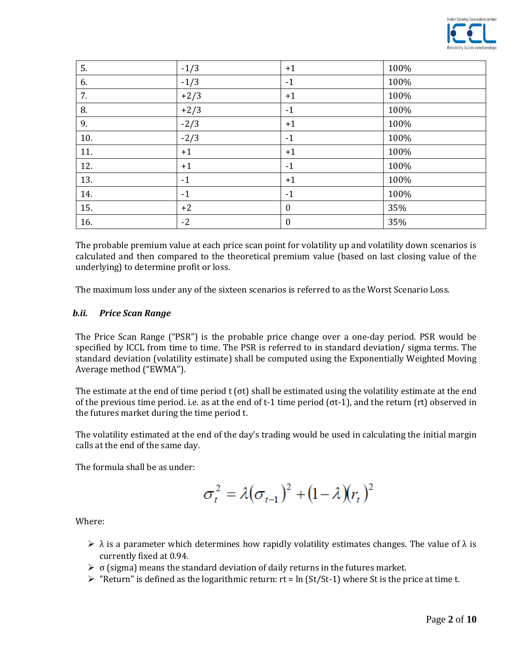

| 5.  | $-1/3$ | $+1$             | 100% |
|-----|--------|------------------|------|
| 6.  | $-1/3$ | $-1$             | 100% |
| 7.  | $+2/3$ | $+1$             | 100% |
| 8.  | $+2/3$ | $-1$             | 100% |
| 9.  | $-2/3$ | $+1$             | 100% |
| 10. | $-2/3$ | $-1$             | 100% |
| 11. | $+1$   | $+1$             | 100% |
| 12. | $+1$   | $-1$             | 100% |
| 13. | $-1$   | $+1$             | 100% |
| 14. | $-1$   | $-1$             | 100% |
| 15. | $+2$   | $\bf{0}$         | 35%  |
| 16. | $-2$   | $\boldsymbol{0}$ | 35%  |

The probable premium value at each price scan point for volatility up and volatility down scenarios is calculated and then compared to the theoretical premium value (based on last closing value of the underlying) to determine profit or loss.

The maximum loss under any of the sixteen scenarios is referred to as the Worst Scenario Loss.

#### *b.ii. Price Scan Range*

The Price Scan Range ("PSR") is the probable price change over a one-day period. PSR would be specified by ICCL from time to time. The PSR is referred to in standard deviation/ sigma terms. The standard deviation (volatility estimate) shall be computed using the Exponentially Weighted Moving Average method ("EWMA").

The estimate at the end of time period t ( $\sigma t$ ) shall be estimated using the volatility estimate at the end of the previous time period. i.e. as at the end of t-1 time period (σt-1), and the return (rt) observed in the futures market during the time period t.

The volatility estimated at the end of the day's trading would be used in calculating the initial margin calls at the end of the same day.

The formula shall be as under:

$$
\sigma_t^2 = \lambda (\sigma_{t-1})^2 + (1 - \lambda)(r_t)^2
$$

Where:

- $\triangleright$   $\lambda$  is a parameter which determines how rapidly volatility estimates changes. The value of  $\lambda$  is currently fixed at 0.94.
- $\triangleright$   $\sigma$  (sigma) means the standard deviation of daily returns in the futures market.
- $\triangleright$  "Return" is defined as the logarithmic return: rt = ln (St/St-1) where St is the price at time t.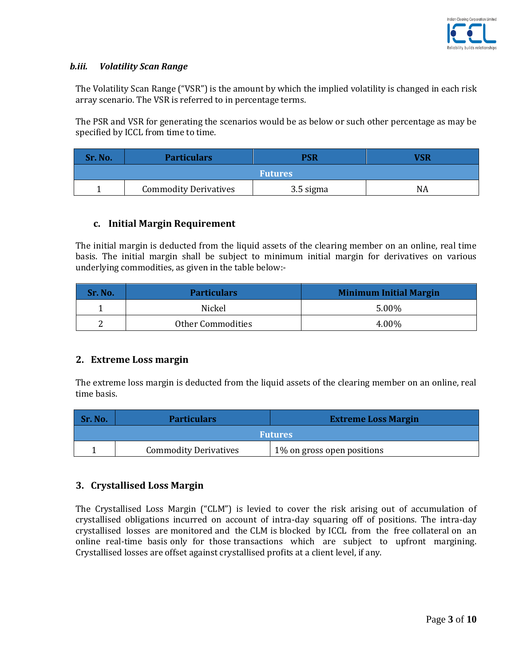

#### *b.iii. Volatility Scan Range*

The Volatility Scan Range ("VSR") is the amount by which the implied volatility is changed in each risk array scenario. The VSR is referred to in percentage terms.

The PSR and VSR for generating the scenarios would be as below or such other percentage as may be specified by ICCL from time to time.

| Sr. No.        | <b>Particulars</b>           | <b>PSR</b> | VSR |
|----------------|------------------------------|------------|-----|
| <b>Futures</b> |                              |            |     |
|                | <b>Commodity Derivatives</b> | 3.5 sigma  | NA  |

#### **c. Initial Margin Requirement**

The initial margin is deducted from the liquid assets of the clearing member on an online, real time basis. The initial margin shall be subject to minimum initial margin for derivatives on various underlying commodities, as given in the table below:-

| <b>Sr. No.</b> | <b>Particulars</b>       | <b>Minimum Initial Margin</b> |
|----------------|--------------------------|-------------------------------|
|                | Nickel                   | 5.00%                         |
| ∼              | <b>Other Commodities</b> | 4.00%                         |

#### **2. Extreme Loss margin**

The extreme loss margin is deducted from the liquid assets of the clearing member on an online, real time basis.

| Sr. No.        | <b>Particulars</b>           | <b>Extreme Loss Margin</b>  |  |
|----------------|------------------------------|-----------------------------|--|
| <b>Futures</b> |                              |                             |  |
|                | <b>Commodity Derivatives</b> | 1\% on gross open positions |  |

#### **3. Crystallised Loss Margin**

The Crystallised Loss Margin ("CLM") is levied to cover the risk arising out of accumulation of crystallised obligations incurred on account of intra-day squaring off of positions. The intra-day crystallised losses are monitored and the CLM is blocked by ICCL from the free collateral on an online real-time basis only for those transactions which are subject to upfront margining. Crystallised losses are offset against crystallised profits at a client level, if any.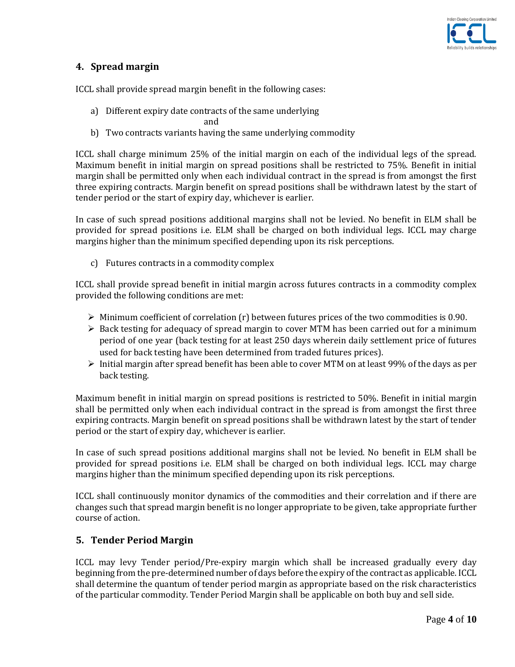

# **4. Spread margin**

ICCL shall provide spread margin benefit in the following cases:

a) Different expiry date contracts of the same underlying

and the contract of the contract of the contract of the contract of the contract of the contract of the contract of the contract of the contract of the contract of the contract of the contract of the contract of the contra

b) Two contracts variants having the same underlying commodity

ICCL shall charge minimum 25% of the initial margin on each of the individual legs of the spread. Maximum benefit in initial margin on spread positions shall be restricted to 75%. Benefit in initial margin shall be permitted only when each individual contract in the spread is from amongst the first three expiring contracts. Margin benefit on spread positions shall be withdrawn latest by the start of tender period or the start of expiry day, whichever is earlier.

In case of such spread positions additional margins shall not be levied. No benefit in ELM shall be provided for spread positions i.e. ELM shall be charged on both individual legs. ICCL may charge margins higher than the minimum specified depending upon its risk perceptions.

c) Futures contracts in a commodity complex

ICCL shall provide spread benefit in initial margin across futures contracts in a commodity complex provided the following conditions are met:

- $\triangleright$  Minimum coefficient of correlation (r) between futures prices of the two commodities is 0.90.
- Back testing for adequacy of spread margin to cover MTM has been carried out for a minimum period of one year (back testing for at least 250 days wherein daily settlement price of futures used for back testing have been determined from traded futures prices).
- $\triangleright$  Initial margin after spread benefit has been able to cover MTM on at least 99% of the days as per back testing.

Maximum benefit in initial margin on spread positions is restricted to 50%. Benefit in initial margin shall be permitted only when each individual contract in the spread is from amongst the first three expiring contracts. Margin benefit on spread positions shall be withdrawn latest by the start of tender period or the start of expiry day, whichever is earlier.

In case of such spread positions additional margins shall not be levied. No benefit in ELM shall be provided for spread positions i.e. ELM shall be charged on both individual legs. ICCL may charge margins higher than the minimum specified depending upon its risk perceptions.

ICCL shall continuously monitor dynamics of the commodities and their correlation and if there are changes such that spread margin benefit is no longer appropriate to be given, take appropriate further course of action.

# **5. Tender Period Margin**

ICCL may levy Tender period/Pre-expiry margin which shall be increased gradually every day beginning from the pre-determined number of days before the expiry of the contract as applicable. ICCL shall determine the quantum of tender period margin as appropriate based on the risk characteristics of the particular commodity. Tender Period Margin shall be applicable on both buy and sell side.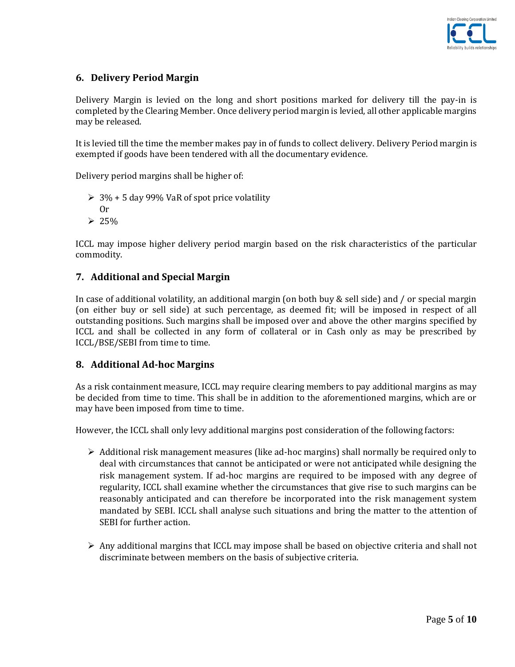

# **6. Delivery Period Margin**

Delivery Margin is levied on the long and short positions marked for delivery till the pay-in is completed by the Clearing Member. Once delivery period margin is levied, all other applicable margins may be released.

It is levied till the time the member makes pay in of funds to collect delivery. Delivery Period margin is exempted if goods have been tendered with all the documentary evidence.

Delivery period margins shall be higher of:

- $\geq 3\% + 5$  day 99% VaR of spot price volatility
- Or
- $> 25%$

ICCL may impose higher delivery period margin based on the risk characteristics of the particular commodity.

#### **7. Additional and Special Margin**

In case of additional volatility, an additional margin (on both buy & sell side) and / or special margin (on either buy or sell side) at such percentage, as deemed fit; will be imposed in respect of all outstanding positions. Such margins shall be imposed over and above the other margins specified by ICCL and shall be collected in any form of collateral or in Cash only as may be prescribed by ICCL/BSE/SEBI from time to time.

#### **8. Additional Ad-hoc Margins**

As a risk containment measure, ICCL may require clearing members to pay additional margins as may be decided from time to time. This shall be in addition to the aforementioned margins, which are or may have been imposed from time to time.

However, the ICCL shall only levy additional margins post consideration of the following factors:

- $\triangleright$  Additional risk management measures (like ad-hoc margins) shall normally be required only to deal with circumstances that cannot be anticipated or were not anticipated while designing the risk management system. If ad-hoc margins are required to be imposed with any degree of regularity, ICCL shall examine whether the circumstances that give rise to such margins can be reasonably anticipated and can therefore be incorporated into the risk management system mandated by SEBI. ICCL shall analyse such situations and bring the matter to the attention of SEBI for further action.
- $\triangleright$  Any additional margins that ICCL may impose shall be based on objective criteria and shall not discriminate between members on the basis of subjective criteria.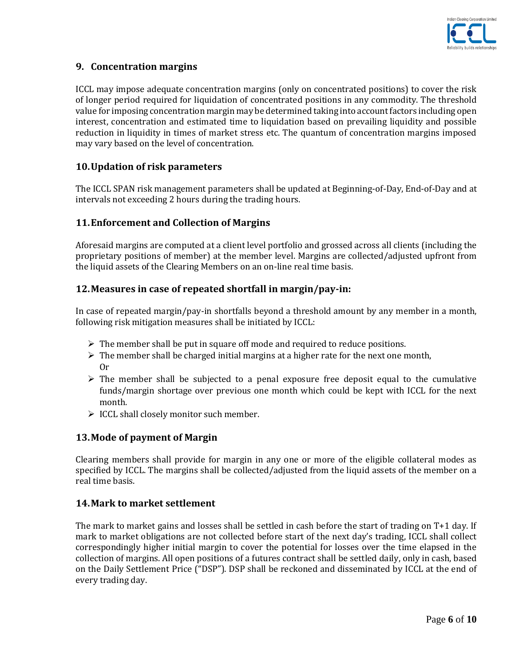

## **9. Concentration margins**

ICCL may impose adequate concentration margins (only on concentrated positions) to cover the risk of longer period required for liquidation of concentrated positions in any commodity. The threshold value for imposing concentration margin may be determined taking into account factors including open interest, concentration and estimated time to liquidation based on prevailing liquidity and possible reduction in liquidity in times of market stress etc. The quantum of concentration margins imposed may vary based on the level of concentration.

#### **10.Updation of risk parameters**

The ICCL SPAN risk management parameters shall be updated at Beginning-of-Day, End-of-Day and at intervals not exceeding 2 hours during the trading hours.

#### **11.Enforcement and Collection of Margins**

Aforesaid margins are computed at a client level portfolio and grossed across all clients (including the proprietary positions of member) at the member level. Margins are collected/adjusted upfront from the liquid assets of the Clearing Members on an on-line real time basis.

## **12.Measures in case of repeated shortfall in margin/pay-in:**

In case of repeated margin/pay-in shortfalls beyond a threshold amount by any member in a month, following risk mitigation measures shall be initiated by ICCL:

- $\triangleright$  The member shall be put in square off mode and required to reduce positions.
- $\triangleright$  The member shall be charged initial margins at a higher rate for the next one month, Or
- $\triangleright$  The member shall be subjected to a penal exposure free deposit equal to the cumulative funds/margin shortage over previous one month which could be kept with ICCL for the next month.
- $\triangleright$  ICCL shall closely monitor such member.

#### **13.Mode of payment of Margin**

Clearing members shall provide for margin in any one or more of the eligible collateral modes as specified by ICCL. The margins shall be collected/adjusted from the liquid assets of the member on a real time basis.

#### **14.Mark to market settlement**

The mark to market gains and losses shall be settled in cash before the start of trading on T+1 day. If mark to market obligations are not collected before start of the next day's trading, ICCL shall collect correspondingly higher initial margin to cover the potential for losses over the time elapsed in the collection of margins. All open positions of a futures contract shall be settled daily, only in cash, based on the Daily Settlement Price ("DSP"). DSP shall be reckoned and disseminated by ICCL at the end of every trading day.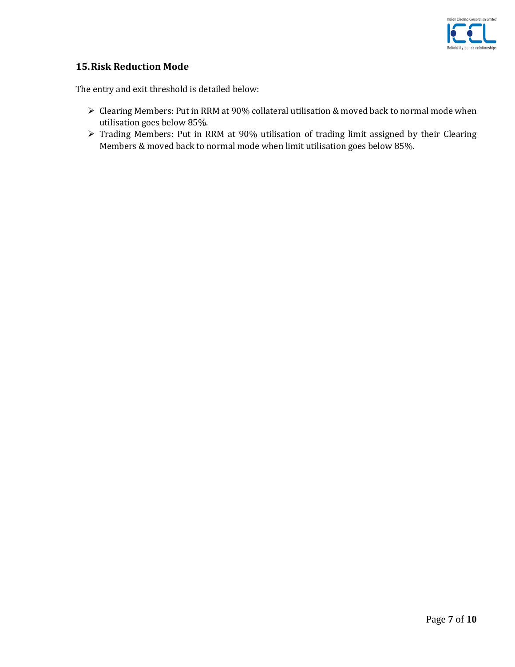

## **15.Risk Reduction Mode**

The entry and exit threshold is detailed below:

- Clearing Members: Put in RRM at 90% collateral utilisation & moved back to normal mode when utilisation goes below 85%.
- Trading Members: Put in RRM at 90% utilisation of trading limit assigned by their Clearing Members & moved back to normal mode when limit utilisation goes below 85%.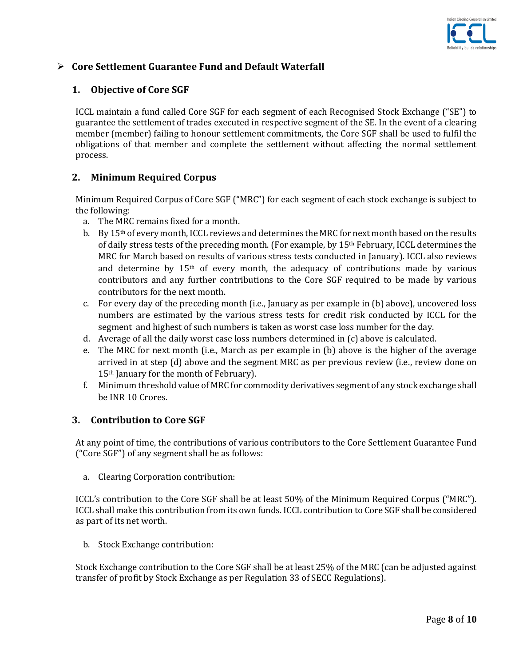

# **Core Settlement Guarantee Fund and Default Waterfall**

#### **1. Objective of Core SGF**

ICCL maintain a fund called Core SGF for each segment of each Recognised Stock Exchange ("SE") to guarantee the settlement of trades executed in respective segment of the SE. In the event of a clearing member (member) failing to honour settlement commitments, the Core SGF shall be used to fulfil the obligations of that member and complete the settlement without affecting the normal settlement process.

## **2. Minimum Required Corpus**

Minimum Required Corpus of Core SGF ("MRC") for each segment of each stock exchange is subject to the following:

- a. The MRC remains fixed for a month.
- b. By  $15<sup>th</sup>$  of every month, ICCL reviews and determines the MRC for next month based on the results of daily stress tests of the preceding month. (For example, by 15th February, ICCL determines the MRC for March based on results of various stress tests conducted in January). ICCL also reviews and determine by  $15<sup>th</sup>$  of every month, the adequacy of contributions made by various contributors and any further contributions to the Core SGF required to be made by various contributors for the next month.
- c. For every day of the preceding month (i.e., January as per example in (b) above), uncovered loss numbers are estimated by the various stress tests for credit risk conducted by ICCL for the segment and highest of such numbers is taken as worst case loss number for the day.
- d. Average of all the daily worst case loss numbers determined in (c) above is calculated.
- e. The MRC for next month (i.e., March as per example in (b) above is the higher of the average arrived in at step (d) above and the segment MRC as per previous review (i.e., review done on 15th January for the month of February).
- f. Minimum threshold value of MRC for commodity derivatives segment of any stock exchange shall be INR 10 Crores.

#### **3. Contribution to Core SGF**

At any point of time, the contributions of various contributors to the Core Settlement Guarantee Fund ("Core SGF") of any segment shall be as follows:

a. Clearing Corporation contribution:

ICCL's contribution to the Core SGF shall be at least 50% of the Minimum Required Corpus ("MRC"). ICCL shall make this contribution from its own funds. ICCL contribution to Core SGF shall be considered as part of its net worth.

b. Stock Exchange contribution:

Stock Exchange contribution to the Core SGF shall be at least 25% of the MRC (can be adjusted against transfer of profit by Stock Exchange as per Regulation 33 of SECC Regulations).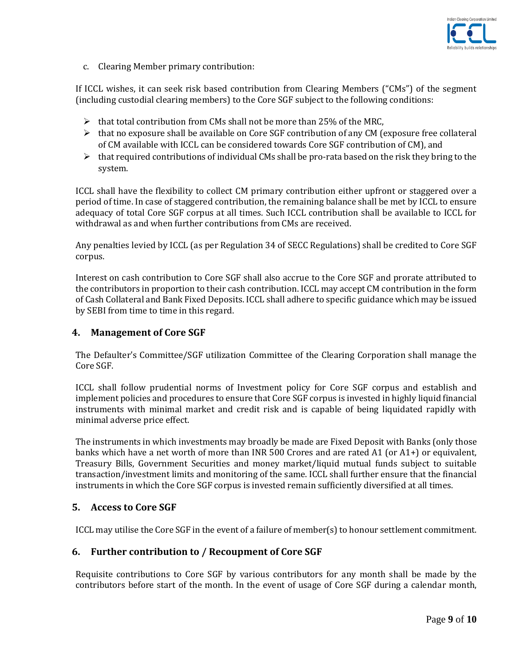

c. Clearing Member primary contribution:

If ICCL wishes, it can seek risk based contribution from Clearing Members ("CMs") of the segment (including custodial clearing members) to the Core SGF subject to the following conditions:

- $\triangleright$  that total contribution from CMs shall not be more than 25% of the MRC,
- $\triangleright$  that no exposure shall be available on Core SGF contribution of any CM (exposure free collateral of CM available with ICCL can be considered towards Core SGF contribution of CM), and
- $\triangleright$  that required contributions of individual CMs shall be pro-rata based on the risk they bring to the system.

ICCL shall have the flexibility to collect CM primary contribution either upfront or staggered over a period of time. In case of staggered contribution, the remaining balance shall be met by ICCL to ensure adequacy of total Core SGF corpus at all times. Such ICCL contribution shall be available to ICCL for withdrawal as and when further contributions from CMs are received.

Any penalties levied by ICCL (as per Regulation 34 of SECC Regulations) shall be credited to Core SGF corpus.

Interest on cash contribution to Core SGF shall also accrue to the Core SGF and prorate attributed to the contributors in proportion to their cash contribution. ICCL may accept CM contribution in the form of Cash Collateral and Bank Fixed Deposits. ICCL shall adhere to specific guidance which may be issued by SEBI from time to time in this regard.

#### **4. Management of Core SGF**

The Defaulter's Committee/SGF utilization Committee of the Clearing Corporation shall manage the Core SGF.

ICCL shall follow prudential norms of Investment policy for Core SGF corpus and establish and implement policies and procedures to ensure that Core SGF corpus is invested in highly liquid financial instruments with minimal market and credit risk and is capable of being liquidated rapidly with minimal adverse price effect.

The instruments in which investments may broadly be made are Fixed Deposit with Banks (only those banks which have a net worth of more than INR 500 Crores and are rated A1 (or A1+) or equivalent, Treasury Bills, Government Securities and money market/liquid mutual funds subject to suitable transaction/investment limits and monitoring of the same. ICCL shall further ensure that the financial instruments in which the Core SGF corpus is invested remain sufficiently diversified at all times.

#### **5. Access to Core SGF**

ICCL may utilise the Core SGF in the event of a failure of member(s) to honour settlement commitment.

#### **6. Further contribution to / Recoupment of Core SGF**

Requisite contributions to Core SGF by various contributors for any month shall be made by the contributors before start of the month. In the event of usage of Core SGF during a calendar month,